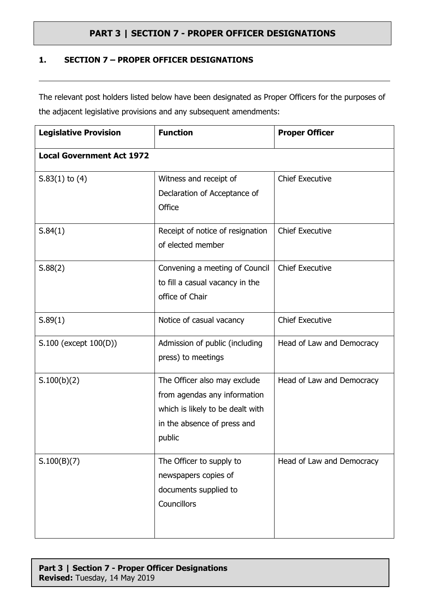#### **1. SECTION 7 – PROPER OFFICER DESIGNATIONS**

The relevant post holders listed below have been designated as Proper Officers for the purposes of the adjacent legislative provisions and any subsequent amendments:

| <b>Legislative Provision</b>     | <b>Function</b>                                                                                                                           | <b>Proper Officer</b>     |
|----------------------------------|-------------------------------------------------------------------------------------------------------------------------------------------|---------------------------|
| <b>Local Government Act 1972</b> |                                                                                                                                           |                           |
| $S.83(1)$ to $(4)$               | Witness and receipt of<br>Declaration of Acceptance of<br>Office                                                                          | <b>Chief Executive</b>    |
| S.84(1)                          | Receipt of notice of resignation<br>of elected member                                                                                     | <b>Chief Executive</b>    |
| S.88(2)                          | Convening a meeting of Council<br>to fill a casual vacancy in the<br>office of Chair                                                      | <b>Chief Executive</b>    |
| S.89(1)                          | Notice of casual vacancy                                                                                                                  | <b>Chief Executive</b>    |
| S.100 (except 100(D))            | Admission of public (including<br>press) to meetings                                                                                      | Head of Law and Democracy |
| S.100(b)(2)                      | The Officer also may exclude<br>from agendas any information<br>which is likely to be dealt with<br>in the absence of press and<br>public | Head of Law and Democracy |
| S.100(B)(7)                      | The Officer to supply to<br>newspapers copies of<br>documents supplied to<br>Councillors                                                  | Head of Law and Democracy |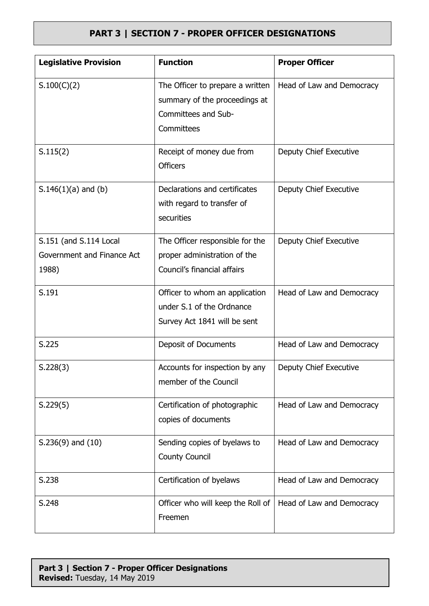| <b>Legislative Provision</b>                                  | <b>Function</b>                                                                                        | <b>Proper Officer</b>     |
|---------------------------------------------------------------|--------------------------------------------------------------------------------------------------------|---------------------------|
| S.100(C)(2)                                                   | The Officer to prepare a written<br>summary of the proceedings at<br>Committees and Sub-<br>Committees | Head of Law and Democracy |
| S.115(2)                                                      | Receipt of money due from<br><b>Officers</b>                                                           | Deputy Chief Executive    |
| $S.146(1)(a)$ and (b)                                         | Declarations and certificates<br>with regard to transfer of<br>securities                              | Deputy Chief Executive    |
| S.151 (and S.114 Local<br>Government and Finance Act<br>1988) | The Officer responsible for the<br>proper administration of the<br>Council's financial affairs         | Deputy Chief Executive    |
| S.191                                                         | Officer to whom an application<br>under S.1 of the Ordnance<br>Survey Act 1841 will be sent            | Head of Law and Democracy |
| S.225                                                         | Deposit of Documents                                                                                   | Head of Law and Democracy |
| S.228(3)                                                      | Accounts for inspection by any<br>member of the Council                                                | Deputy Chief Executive    |
| S.229(5)                                                      | Certification of photographic<br>copies of documents                                                   | Head of Law and Democracy |
| $S.236(9)$ and $(10)$                                         | Sending copies of byelaws to<br><b>County Council</b>                                                  | Head of Law and Democracy |
| S.238                                                         | Certification of byelaws                                                                               | Head of Law and Democracy |
| S.248                                                         | Officer who will keep the Roll of<br>Freemen                                                           | Head of Law and Democracy |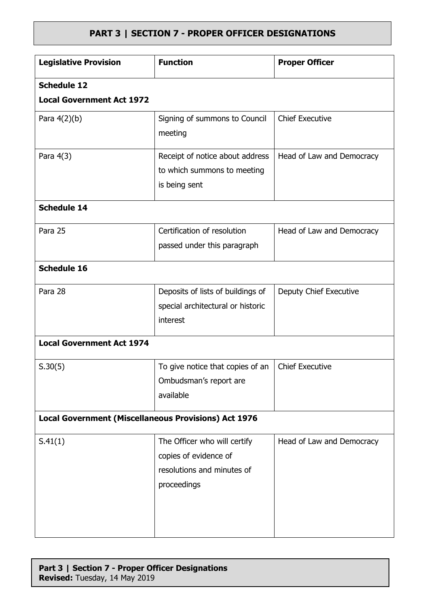| <b>Legislative Provision</b>                                | <b>Function</b>                                                                                    | <b>Proper Officer</b>     |  |
|-------------------------------------------------------------|----------------------------------------------------------------------------------------------------|---------------------------|--|
| <b>Schedule 12</b>                                          |                                                                                                    |                           |  |
| <b>Local Government Act 1972</b>                            |                                                                                                    |                           |  |
| Para $4(2)(b)$                                              | Signing of summons to Council<br>meeting                                                           | <b>Chief Executive</b>    |  |
| Para 4(3)                                                   | Receipt of notice about address<br>to which summons to meeting<br>is being sent                    | Head of Law and Democracy |  |
| <b>Schedule 14</b>                                          |                                                                                                    |                           |  |
| Para 25                                                     | Certification of resolution<br>passed under this paragraph                                         | Head of Law and Democracy |  |
| <b>Schedule 16</b>                                          |                                                                                                    |                           |  |
| Para 28                                                     | Deposits of lists of buildings of<br>special architectural or historic<br>interest                 | Deputy Chief Executive    |  |
| <b>Local Government Act 1974</b>                            |                                                                                                    |                           |  |
| S.30(5)                                                     | To give notice that copies of an<br>Ombudsman's report are<br>available                            | <b>Chief Executive</b>    |  |
| <b>Local Government (Miscellaneous Provisions) Act 1976</b> |                                                                                                    |                           |  |
| S.41(1)                                                     | The Officer who will certify<br>copies of evidence of<br>resolutions and minutes of<br>proceedings | Head of Law and Democracy |  |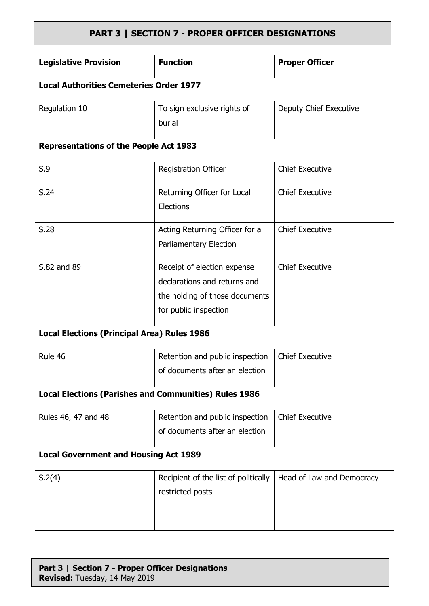| <b>Legislative Provision</b>                                 | <b>Function</b>                      | <b>Proper Officer</b>     |
|--------------------------------------------------------------|--------------------------------------|---------------------------|
| <b>Local Authorities Cemeteries Order 1977</b>               |                                      |                           |
| Regulation 10                                                | To sign exclusive rights of          | Deputy Chief Executive    |
|                                                              | burial                               |                           |
| <b>Representations of the People Act 1983</b>                |                                      |                           |
| S.9                                                          | <b>Registration Officer</b>          | <b>Chief Executive</b>    |
| S.24                                                         | Returning Officer for Local          | <b>Chief Executive</b>    |
|                                                              | <b>Elections</b>                     |                           |
| S.28                                                         | Acting Returning Officer for a       | <b>Chief Executive</b>    |
|                                                              | Parliamentary Election               |                           |
| S.82 and 89                                                  | Receipt of election expense          | <b>Chief Executive</b>    |
|                                                              | declarations and returns and         |                           |
|                                                              | the holding of those documents       |                           |
|                                                              | for public inspection                |                           |
| <b>Local Elections (Principal Area) Rules 1986</b>           |                                      |                           |
| Rule 46                                                      | Retention and public inspection      | <b>Chief Executive</b>    |
|                                                              | of documents after an election       |                           |
| <b>Local Elections (Parishes and Communities) Rules 1986</b> |                                      |                           |
| Rules 46, 47 and 48                                          | Retention and public inspection      | <b>Chief Executive</b>    |
|                                                              | of documents after an election       |                           |
| <b>Local Government and Housing Act 1989</b>                 |                                      |                           |
| S.2(4)                                                       | Recipient of the list of politically | Head of Law and Democracy |
|                                                              | restricted posts                     |                           |
|                                                              |                                      |                           |
|                                                              |                                      |                           |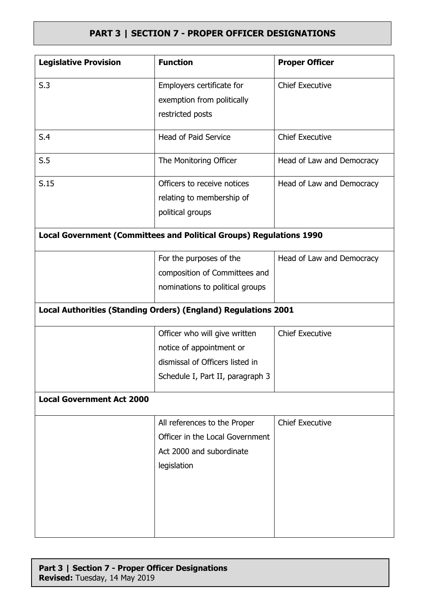| <b>Legislative Provision</b>                                               | <b>Function</b>                  | <b>Proper Officer</b>     |
|----------------------------------------------------------------------------|----------------------------------|---------------------------|
| S.3                                                                        | Employers certificate for        | <b>Chief Executive</b>    |
|                                                                            | exemption from politically       |                           |
|                                                                            | restricted posts                 |                           |
| S.4                                                                        | <b>Head of Paid Service</b>      | <b>Chief Executive</b>    |
| S.5                                                                        | The Monitoring Officer           | Head of Law and Democracy |
| S.15                                                                       | Officers to receive notices      | Head of Law and Democracy |
|                                                                            | relating to membership of        |                           |
|                                                                            | political groups                 |                           |
| <b>Local Government (Committees and Political Groups) Regulations 1990</b> |                                  |                           |
|                                                                            | For the purposes of the          | Head of Law and Democracy |
|                                                                            | composition of Committees and    |                           |
|                                                                            | nominations to political groups  |                           |
| Local Authorities (Standing Orders) (England) Regulations 2001             |                                  |                           |
|                                                                            | Officer who will give written    | <b>Chief Executive</b>    |
|                                                                            | notice of appointment or         |                           |
|                                                                            | dismissal of Officers listed in  |                           |
|                                                                            | Schedule I, Part II, paragraph 3 |                           |
| <b>Local Government Act 2000</b>                                           |                                  |                           |
|                                                                            | All references to the Proper     | <b>Chief Executive</b>    |
|                                                                            | Officer in the Local Government  |                           |
|                                                                            | Act 2000 and subordinate         |                           |
|                                                                            | legislation                      |                           |
|                                                                            |                                  |                           |
|                                                                            |                                  |                           |
|                                                                            |                                  |                           |
|                                                                            |                                  |                           |
|                                                                            |                                  |                           |